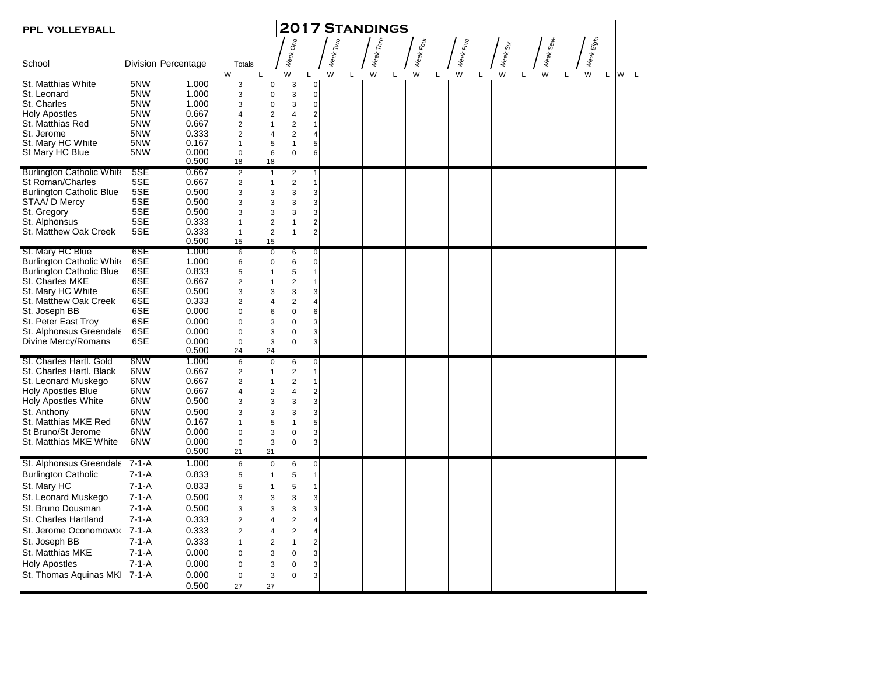| <b>2017 STANDINGS</b><br>PPL VOLLEYBALL        |             |                            |                             |                              |                           |                                  |                    |                     |                     |                     |                    |                                 |                      |          |
|------------------------------------------------|-------------|----------------------------|-----------------------------|------------------------------|---------------------------|----------------------------------|--------------------|---------------------|---------------------|---------------------|--------------------|---------------------------------|----------------------|----------|
|                                                |             |                            |                             |                              | රේ                        |                                  |                    |                     |                     |                     |                    |                                 |                      |          |
| School                                         |             | <b>Division Percentage</b> | Totals<br>W<br>L            |                              | <b>Week</b><br>W          | L                                | Week Two<br>W<br>L | Week Thre<br>W<br>L | Week Four<br>W<br>L | Week Five<br>W<br>L | Week Six<br>W<br>Г | Week Se <sub>Ve</sub><br>W<br>L | Week Eight<br>W<br>L | W<br>- L |
| St. Matthias White                             | 5NW         | 1.000                      | 3                           | 0                            | 3                         | $\mathbf 0$                      |                    |                     |                     |                     |                    |                                 |                      |          |
| St. Leonard                                    | 5NW         | 1.000                      | 3                           | 0                            | 3                         | $\mathbf 0$                      |                    |                     |                     |                     |                    |                                 |                      |          |
| St. Charles                                    | 5NW         | 1.000                      | 3                           | 0                            | 3                         | $\overline{0}$                   |                    |                     |                     |                     |                    |                                 |                      |          |
| Holy Apostles                                  | 5NW         | 0.667                      | 4                           | 2                            | 4                         | $\overline{2}$                   |                    |                     |                     |                     |                    |                                 |                      |          |
| St. Matthias Red                               | 5NW         | 0.667                      | $\overline{2}$              | $\mathbf{1}$                 | $\overline{\mathbf{c}}$   | $\mathbf{1}$                     |                    |                     |                     |                     |                    |                                 |                      |          |
| St. Jerome                                     | 5NW         | 0.333                      | $\overline{2}$              | 4                            | $\overline{2}$            | $\overline{\mathbf{4}}$          |                    |                     |                     |                     |                    |                                 |                      |          |
| St. Mary HC White<br>St Mary HC Blue           | 5NW<br>5NW  | 0.167<br>0.000             | $\mathbf{1}$<br>$\mathbf 0$ | 5<br>6                       | $\mathbf{1}$<br>$\pmb{0}$ | $\mathbf 5$<br>$\boldsymbol{6}$  |                    |                     |                     |                     |                    |                                 |                      |          |
|                                                |             | 0.500                      | 18                          | 18                           |                           |                                  |                    |                     |                     |                     |                    |                                 |                      |          |
| <b>Burlington Catholic White</b>               | 5SE         | 0.667                      | $\overline{2}$              | $\overline{1}$               | $\overline{2}$            | $\vert$                          |                    |                     |                     |                     |                    |                                 |                      |          |
| St Roman/Charles                               | 5SE         | 0.667                      | $\overline{c}$              | $\mathbf{1}$                 | $\overline{c}$            | 1                                |                    |                     |                     |                     |                    |                                 |                      |          |
| <b>Burlington Catholic Blue</b>                | 5SE         | 0.500                      | 3                           | 3                            | 3                         | $\mathsf 3$                      |                    |                     |                     |                     |                    |                                 |                      |          |
| STAA/ D Mercy                                  | 5SE<br>5SE  | 0.500<br>0.500             | 3<br>3                      | 3                            | 3                         | $\mathbf 3$<br>$\mathbf{3}$      |                    |                     |                     |                     |                    |                                 |                      |          |
| St. Gregory<br>St. Alphonsus                   | 5SE         | 0.333                      | $\mathbf{1}$                | 3<br>$\overline{\mathbf{c}}$ | 3<br>$\mathbf{1}$         | $\mathbf{2}$                     |                    |                     |                     |                     |                    |                                 |                      |          |
| St. Matthew Oak Creek                          | 5SE         | 0.333                      | $\mathbf{1}$                | $\overline{2}$               | $\mathbf{1}$              | $\overline{a}$                   |                    |                     |                     |                     |                    |                                 |                      |          |
|                                                |             | 0.500                      | 15                          | 15                           |                           |                                  |                    |                     |                     |                     |                    |                                 |                      |          |
| St. Mary HC Blue                               | 6SE         | 1.000                      | $6\phantom{a}$              | $\overline{0}$               | $6\overline{6}$           | $\overline{0}$                   |                    |                     |                     |                     |                    |                                 |                      |          |
| <b>Burlington Catholic White</b>               | 6SE         | 1.000                      | 6                           | 0                            | 6                         | $\mathbf 0$                      |                    |                     |                     |                     |                    |                                 |                      |          |
| Burlington Catholic Blue                       | 6SE         | 0.833                      | 5                           | 1                            | 5                         | 1                                |                    |                     |                     |                     |                    |                                 |                      |          |
| St. Charles MKE                                | 6SE         | 0.667                      | $\overline{2}$              | 1                            | $\overline{2}$            | 1                                |                    |                     |                     |                     |                    |                                 |                      |          |
| St. Mary HC White                              | 6SE         | 0.500                      | 3                           | 3                            | 3                         | $\mathsf 3$                      |                    |                     |                     |                     |                    |                                 |                      |          |
| St. Matthew Oak Creek                          | 6SE<br>6SE  | 0.333                      | $\overline{2}$              | 4                            | $\overline{c}$            | $\overline{4}$<br>$\overline{6}$ |                    |                     |                     |                     |                    |                                 |                      |          |
| St. Joseph BB                                  | 6SE         | 0.000<br>0.000             | $\mathbf 0$<br>$\mathbf 0$  | 6<br>3                       | 0<br>$\pmb{0}$            |                                  |                    |                     |                     |                     |                    |                                 |                      |          |
| St. Peter East Troy<br>St. Alphonsus Greendale | 6SE         | 0.000                      | $\mathbf 0$                 | 3                            | $\pmb{0}$                 | $\mathbf{3}$<br>$\mathsf 3$      |                    |                     |                     |                     |                    |                                 |                      |          |
| Divine Mercy/Romans                            | 6SE         | 0.000                      | $\mathbf 0$                 | 3                            | 0                         | 3                                |                    |                     |                     |                     |                    |                                 |                      |          |
|                                                |             | 0.500                      | 24                          | 24                           |                           |                                  |                    |                     |                     |                     |                    |                                 |                      |          |
| St. Charles Hartl. Gold                        | 6NW         | 1.000                      | $6\overline{6}$             | $\overline{0}$               | 6                         | $\overline{0}$                   |                    |                     |                     |                     |                    |                                 |                      |          |
| St. Charles Hartl. Black                       | 6NW         | 0.667                      | $\overline{c}$              | $\mathbf{1}$                 | $\mathbf 2$               | 1                                |                    |                     |                     |                     |                    |                                 |                      |          |
| St. Leonard Muskego                            | 6NW         | 0.667                      | $\overline{2}$              | $\mathbf{1}$                 | $\overline{c}$            | $\mathbf{1}$                     |                    |                     |                     |                     |                    |                                 |                      |          |
| <b>Holy Apostles Blue</b>                      | 6NW         | 0.667                      | $\overline{\mathbf{4}}$     | $\overline{2}$               | 4                         | $\overline{2}$                   |                    |                     |                     |                     |                    |                                 |                      |          |
| Holy Apostles White                            | 6NW         | 0.500                      | 3                           | 3                            | 3                         | $\mathbf{3}$                     |                    |                     |                     |                     |                    |                                 |                      |          |
| St. Anthony                                    | 6NW         | 0.500                      | 3                           | 3                            | 3                         | $\mathbf{3}$                     |                    |                     |                     |                     |                    |                                 |                      |          |
| St. Matthias MKE Red                           | 6NW         | 0.167                      | $\mathbf{1}$                | 5                            | 1                         | $\mathbf 5$                      |                    |                     |                     |                     |                    |                                 |                      |          |
| St Bruno/St Jerome                             | 6NW         | 0.000                      | $\mathbf 0$                 | 3                            | 0                         | $\mathbf 3$                      |                    |                     |                     |                     |                    |                                 |                      |          |
| St. Matthias MKE White                         | 6NW         | 0.000<br>0.500             | $\mathbf 0$<br>21           | 3<br>21                      | 0                         | $\ensuremath{\mathsf{3}}$        |                    |                     |                     |                     |                    |                                 |                      |          |
| St. Alphonsus Greendale                        | 7-1-A       | 1.000                      | 6                           | $\pmb{0}$                    | 6                         | $\mathbf 0$                      |                    |                     |                     |                     |                    |                                 |                      |          |
| <b>Burlington Catholic</b>                     | $7 - 1 - A$ | 0.833                      | 5                           | $\mathbf{1}$                 | $\mathbf 5$               | $\mathbf{1}$                     |                    |                     |                     |                     |                    |                                 |                      |          |
| St. Mary HC                                    | $7 - 1 - A$ | 0.833                      | 5                           | $\mathbf{1}$                 | 5                         | 1                                |                    |                     |                     |                     |                    |                                 |                      |          |
| St. Leonard Muskego                            | $7 - 1 - A$ | 0.500                      | 3                           | 3                            | 3                         | $\mathbf{3}$                     |                    |                     |                     |                     |                    |                                 |                      |          |
| St. Bruno Dousman                              | $7 - 1 - A$ | 0.500                      | 3                           | 3                            | 3                         | $\mathbf{3}$                     |                    |                     |                     |                     |                    |                                 |                      |          |
| St. Charles Hartland                           | $7 - 1 - A$ | 0.333                      | $\overline{2}$              | $\overline{4}$               | $\sqrt{2}$                | $\overline{4}$                   |                    |                     |                     |                     |                    |                                 |                      |          |
| St. Jerome Oconomowoo                          | 7-1-A       | 0.333                      | $\overline{2}$              | 4                            | $\sqrt{2}$                | $\overline{4}$                   |                    |                     |                     |                     |                    |                                 |                      |          |
| St. Joseph BB                                  | $7 - 1 - A$ | 0.333                      | $\mathbf{1}$                | $\overline{2}$               | $\mathbf{1}$              | $\mathbf 2$                      |                    |                     |                     |                     |                    |                                 |                      |          |
| St. Matthias MKE                               | $7 - 1 - A$ | 0.000                      | $\mathbf 0$                 | 3                            | 0                         | $\mathbf{3}$                     |                    |                     |                     |                     |                    |                                 |                      |          |
| <b>Holy Apostles</b>                           | $7 - 1 - A$ | 0.000                      | $\mathbf 0$                 | 3                            | $\pmb{0}$                 | $\ensuremath{\mathsf{3}}$        |                    |                     |                     |                     |                    |                                 |                      |          |
| St. Thomas Aquinas MKI 7-1-A                   |             | 0.000                      | $\mathbf 0$                 | 3                            | 0                         | $\mathbf{3}$                     |                    |                     |                     |                     |                    |                                 |                      |          |
|                                                |             | 0.500                      | 27                          | 27                           |                           |                                  |                    |                     |                     |                     |                    |                                 |                      |          |